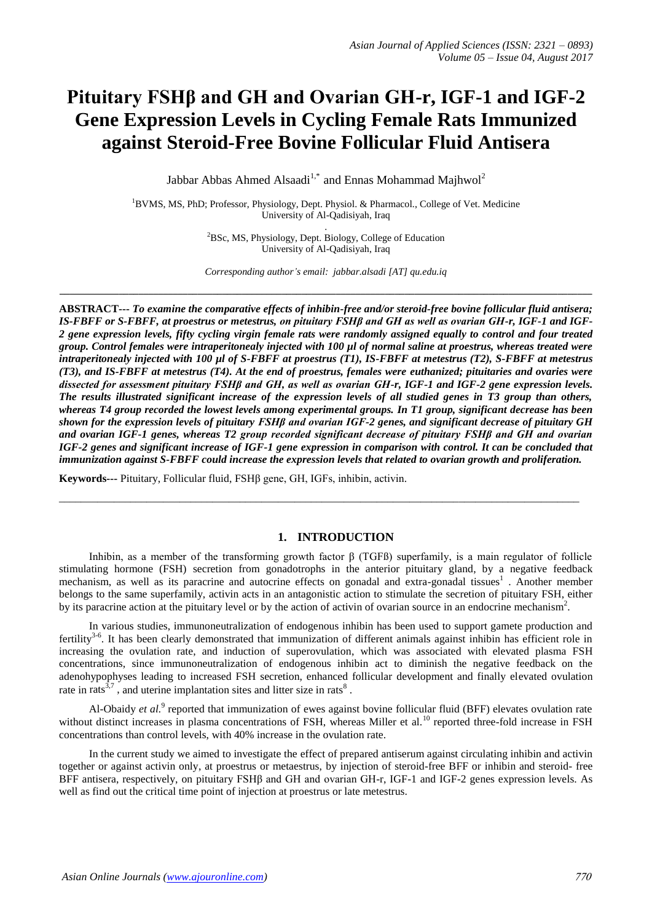# **Pituitary FSHβ and GH and Ovarian GH-r, IGF-1 and IGF-2 Gene Expression Levels in Cycling Female Rats Immunized against Steroid-Free Bovine Follicular Fluid Antisera**

Jabbar Abbas Ahmed Alsaadi<sup>1,\*</sup> and Ennas Mohammad Majhwol<sup>2</sup>

<sup>1</sup>BVMS, MS, PhD; Professor, Physiology, Dept. Physiol. & Pharmacol., College of Vet. Medicine University of Al-Qadisiyah, Iraq .

<sup>2</sup>BSc, MS, Physiology, Dept. Biology, College of Education University of Al-Qadisiyah, Iraq

*Corresponding author's email: jabbar.alsadi [AT] qu.edu.iq* **\_\_\_\_\_\_\_\_\_\_\_\_\_\_\_\_\_\_\_\_\_\_\_\_\_\_\_\_\_\_\_\_\_\_\_\_\_\_\_\_\_\_\_\_\_\_\_\_\_\_\_\_\_\_\_\_\_\_\_\_\_\_\_\_\_\_\_\_\_\_\_\_\_\_\_\_\_\_\_\_\_\_\_\_\_\_\_\_\_\_\_\_\_\_\_\_\_\_\_\_\_\_\_\_\_\_\_\_**

**ABSTRACT---** *To examine the comparative effects of inhibin-free and/or steroid-free bovine follicular fluid antisera; IS-FBFF or S-FBFF, at proestrus or metestrus, on pituitary FSHβ and GH as well as ovarian GH-r, IGF-1 and IGF-2 gene expression levels, fifty cycling virgin female rats were randomly assigned equally to control and four treated group. Control females were intraperitonealy injected with 100 µl of normal saline at proestrus, whereas treated were intraperitonealy injected with 100 µl of S-FBFF at proestrus (T1), IS-FBFF at metestrus (T2), S-FBFF at metestrus (T3), and IS-FBFF at metestrus (T4). At the end of proestrus, females were euthanized; pituitaries and ovaries were dissected for assessment pituitary FSHβ and GH, as well as ovarian GH-r, IGF-1 and IGF-2 gene expression levels. The results illustrated significant increase of the expression levels of all studied genes in T3 group than others, whereas T4 group recorded the lowest levels among experimental groups. In T1 group, significant decrease has been shown for the expression levels of pituitary FSHβ and ovarian IGF-2 genes, and significant decrease of pituitary GH and ovarian IGF-1 genes, whereas T2 group recorded significant decrease of pituitary FSHβ and GH and ovarian IGF-2 genes and significant increase of IGF-1 gene expression in comparison with control. It can be concluded that immunization against S-FBFF could increase the expression levels that related to ovarian growth and proliferation.*

**Keywords---** Pituitary, Follicular fluid, FSHβ gene, GH, IGFs, inhibin, activin.

# **1. INTRODUCTION**

Inhibin, as a member of the transforming growth factor β (TGFß) superfamily, is a main regulator of follicle stimulating hormone (FSH) secretion from gonadotrophs in the anterior pituitary gland, by a negative feedback mechanism, as well as its paracrine and autocrine effects on gonadal and extra-gonadal tissues<sup>1</sup>. Another member belongs to the same superfamily, activin acts in an antagonistic action to stimulate the secretion of pituitary FSH, either by its paracrine action at the pituitary level or by the action of activin of ovarian source in an endocrine mechanism<sup>2</sup>.

\_\_\_\_\_\_\_\_\_\_\_\_\_\_\_\_\_\_\_\_\_\_\_\_\_\_\_\_\_\_\_\_\_\_\_\_\_\_\_\_\_\_\_\_\_\_\_\_\_\_\_\_\_\_\_\_\_\_\_\_\_\_\_\_\_\_\_\_\_\_\_\_\_\_\_\_\_\_\_\_\_\_\_\_\_\_\_\_\_\_\_\_\_\_\_

In various studies, immunoneutralization of endogenous inhibin has been used to support gamete production and fertility<sup>3-6</sup>. It has been clearly demonstrated that immunization of different animals against inhibin has efficient role in increasing the ovulation rate, and induction of superovulation, which was associated with elevated plasma FSH concentrations, since immunoneutralization of endogenous inhibin act to diminish the negative feedback on the adenohypophyses leading to increased FSH secretion, enhanced follicular development and finally elevated ovulation rate in rats<sup>3,7</sup>, and uterine implantation sites and litter size in rats<sup>8</sup>.

Al-Obaidy *et al.*<sup>9</sup> reported that immunization of ewes against bovine follicular fluid (BFF) elevates ovulation rate without distinct increases in plasma concentrations of FSH, whereas Miller et al.<sup>10</sup> reported three-fold increase in FSH concentrations than control levels, with 40% increase in the ovulation rate.

In the current study we aimed to investigate the effect of prepared antiserum against circulating inhibin and activin together or against activin only, at proestrus or metaestrus, by injection of steroid-free BFF or inhibin and steroid- free BFF antisera, respectively, on pituitary FSHβ and GH and ovarian GH-r, IGF-1 and IGF-2 genes expression levels. As well as find out the critical time point of injection at proestrus or late metestrus.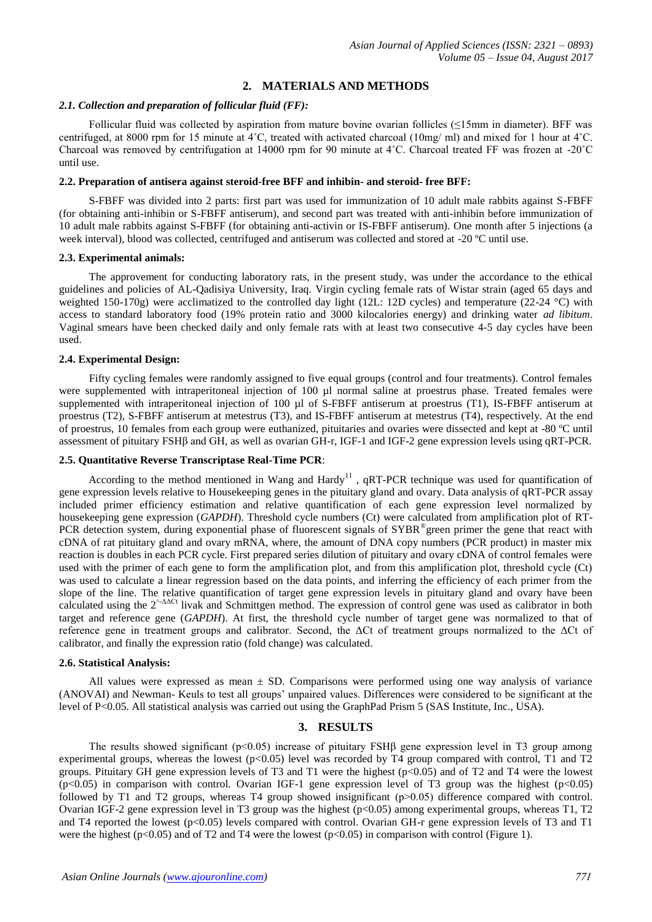# **2. MATERIALS AND METHODS**

## *2.1. Collection and preparation of follicular fluid (FF):*

Follicular fluid was collected by aspiration from mature bovine ovarian follicles (≤15mm in diameter). BFF was centrifuged, at 8000 rpm for 15 minute at 4˚C, treated with activated charcoal (10mg/ ml) and mixed for 1 hour at 4˚C. Charcoal was removed by centrifugation at 14000 rpm for 90 minute at 4˚C. Charcoal treated FF was frozen at -20˚C until use.

## **2.2. Preparation of antisera against steroid-free BFF and inhibin- and steroid- free BFF:**

S-FBFF was divided into 2 parts: first part was used for immunization of 10 adult male rabbits against S-FBFF (for obtaining anti-inhibin or S-FBFF antiserum), and second part was treated with anti-inhibin before immunization of 10 adult male rabbits against S-FBFF (for obtaining anti-activin or IS-FBFF antiserum). One month after 5 injections (a week interval), blood was collected, centrifuged and antiserum was collected and stored at -20 ºC until use.

## **2.3. Experimental animals:**

The approvement for conducting laboratory rats, in the present study, was under the accordance to the ethical guidelines and policies of AL-Qadisiya University, Iraq. Virgin cycling female rats of Wistar strain (aged 65 days and weighted 150-170g) were acclimatized to the controlled day light (12L: 12D cycles) and temperature (22-24 °C) with access to standard laboratory food (19% protein ratio and 3000 kilocalories energy) and drinking water *ad libitum*. Vaginal smears have been checked daily and only female rats with at least two consecutive 4-5 day cycles have been used.

## **2.4. Experimental Design:**

Fifty cycling females were randomly assigned to five equal groups (control and four treatments). Control females were supplemented with intraperitoneal injection of 100 ul normal saline at proestrus phase. Treated females were supplemented with intraperitoneal injection of 100 µl of S-FBFF antiserum at proestrus (T1), IS-FBFF antiserum at proestrus (T2), S-FBFF antiserum at metestrus (T3), and IS-FBFF antiserum at metestrus (T4), respectively. At the end of proestrus, 10 females from each group were euthanized, pituitaries and ovaries were dissected and kept at -80 ºC until assessment of pituitary FSHβ and GH, as well as ovarian GH-r, IGF-1 and IGF-2 gene expression levels using qRT-PCR.

#### **2.5. Quantitative Reverse Transcriptase Real-Time PCR**:

According to the method mentioned in Wang and  $Hardy<sup>11</sup>$ , qRT-PCR technique was used for quantification of gene expression levels relative to Housekeeping genes in the pituitary gland and ovary. Data analysis of qRT-PCR assay included primer efficiency estimation and relative quantification of each gene expression level normalized by housekeeping gene expression (*GAPDH*). Threshold cycle numbers (Ct) were calculated from amplification plot of RT-PCR detection system, during exponential phase of fluorescent signals of SYBR® green primer the gene that react with cDNA of rat pituitary gland and ovary mRNA, where, the amount of DNA copy numbers (PCR product) in master mix reaction is doubles in each PCR cycle. First prepared series dilution of pituitary and ovary cDNA of control females were used with the primer of each gene to form the amplification plot, and from this amplification plot, threshold cycle (Ct) was used to calculate a linear regression based on the data points, and inferring the efficiency of each primer from the slope of the line. The relative quantification of target gene expression levels in pituitary gland and ovary have been calculated using the  $2^{\text{A}\Delta\Omega t}$  livak and Schmittgen method. The expression of control gene was used as calibrator in both target and reference gene (*GAPDH*). At first, the threshold cycle number of target gene was normalized to that of reference gene in treatment groups and calibrator. Second, the ΔCt of treatment groups normalized to the ΔCt of calibrator, and finally the expression ratio (fold change) was calculated.

#### **2.6. Statistical Analysis:**

All values were expressed as mean  $\pm$  SD. Comparisons were performed using one way analysis of variance (ANOVAI) and Newman- Keuls to test all groups' unpaired values. Differences were considered to be significant at the level of P<0.05. All statistical analysis was carried out using the GraphPad Prism 5 (SAS Institute, Inc., USA).

# **3. RESULTS**

The results showed significant ( $p<0.05$ ) increase of pituitary FSH $\beta$  gene expression level in T3 group among experimental groups, whereas the lowest ( $p<0.05$ ) level was recorded by T4 group compared with control, T1 and T2 groups. Pituitary GH gene expression levels of T3 and T1 were the highest (p<0.05) and of T2 and T4 were the lowest  $(p<0.05)$  in comparison with control. Ovarian IGF-1 gene expression level of T3 group was the highest  $(p<0.05)$ followed by T1 and T2 groups, whereas T4 group showed insignificant (p>0.05) difference compared with control. Ovarian IGF-2 gene expression level in T3 group was the highest  $(p<0.05)$  among experimental groups, whereas T1, T2 and T4 reported the lowest (p<0.05) levels compared with control. Ovarian GH-r gene expression levels of T3 and T1 were the highest ( $p<0.05$ ) and of T2 and T4 were the lowest ( $p<0.05$ ) in comparison with control (Figure 1).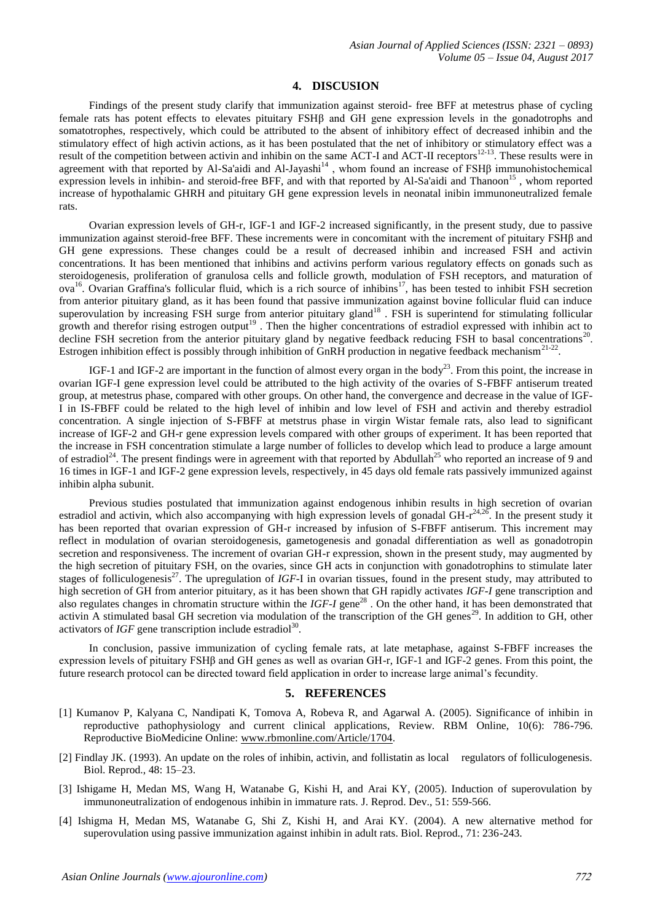#### **4. DISCUSION**

Findings of the present study clarify that immunization against steroid- free BFF at metestrus phase of cycling female rats has potent effects to elevates pituitary FSHβ and GH gene expression levels in the gonadotrophs and somatotrophes, respectively, which could be attributed to the absent of inhibitory effect of decreased inhibin and the stimulatory effect of high activin actions, as it has been postulated that the net of inhibitory or stimulatory effect was a result of the competition between activin and inhibin on the same ACT-I and ACT-II receptors<sup>12-13</sup>. These results were in agreement with that reported by Al-Sa'aidi and Al-Jayashi<sup>14</sup>, whom found an increase of FSHβ immunohistochemical expression levels in inhibin- and steroid-free BFF, and with that reported by Al-Sa'aidi and Thanoon<sup>15</sup>, whom reported increase of hypothalamic GHRH and pituitary GH gene expression levels in neonatal inibin immunoneutralized female rats.

Ovarian expression levels of GH-r, IGF-1 and IGF-2 increased significantly, in the present study, due to passive immunization against steroid-free BFF. These increments were in concomitant with the increment of pituitary FSHβ and GH gene expressions. These changes could be a result of decreased inhibin and increased FSH and activin concentrations. It has been mentioned that inhibins and activins perform various regulatory effects on gonads such as steroidogenesis, proliferation of granulosa cells and follicle growth, modulation of FSH receptors, and maturation of ova<sup>16</sup>. Ovarian Graffina's follicular fluid, which is a rich source of inhibins<sup>17</sup>, has been tested to inhibit FSH secretion from anterior pituitary gland, as it has been found that passive immunization against bovine follicular fluid can induce superovulation by increasing FSH surge from anterior pituitary gland<sup>18</sup>. FSH is superintend for stimulating follicular growth and therefor rising estrogen output<sup>19</sup>. Then the higher concentrations of estradiol expressed with inhibin act to decline FSH secretion from the anterior pituitary gland by negative feedback reducing FSH to basal concentrations<sup>2</sup> . Estrogen inhibition effect is possibly through inhibition of GnRH production in negative feedback mechanism<sup>21-22</sup>.

IGF-1 and IGF-2 are important in the function of almost every organ in the body<sup>23</sup>. From this point, the increase in ovarian IGF-I gene expression level could be attributed to the high activity of the ovaries of S-FBFF antiserum treated group, at metestrus phase, compared with other groups. On other hand, the convergence and decrease in the value of IGF-I in IS-FBFF could be related to the high level of inhibin and low level of FSH and activin and thereby estradiol concentration. A single injection of S-FBFF at metstrus phase in virgin Wistar female rats, also lead to significant increase of IGF-2 and GH-r gene expression levels compared with other groups of experiment. It has been reported that the increase in FSH concentration stimulate a large number of follicles to develop which lead to produce a large amount of estradiol<sup>24</sup>. The present findings were in agreement with that reported by Abdullah<sup>25</sup> who reported an increase of 9 and 16 times in IGF-1 and IGF-2 gene expression levels, respectively, in 45 days old female rats passively immunized against inhibin alpha subunit.

Previous studies postulated that immunization against endogenous inhibin results in high secretion of ovarian estradiol and activin, which also accompanying with high expression levels of gonadal GH- $r^{24,26}$ . In the present study it has been reported that ovarian expression of GH-r increased by infusion of S-FBFF antiserum. This increment may reflect in modulation of ovarian steroidogenesis, gametogenesis and gonadal differentiation as well as gonadotropin secretion and responsiveness. The increment of ovarian GH-r expression, shown in the present study, may augmented by the high secretion of pituitary FSH, on the ovaries, since GH acts in conjunction with gonadotrophins to stimulate later stages of folliculogenesis<sup>27</sup>. The upregulation of *IGF-I* in ovarian tissues, found in the present study, may attributed to high secretion of GH from anterior pituitary, as it has been shown that GH rapidly activates *IGF-I* gene transcription and also regulates changes in chromatin structure within the *IGF-I* gene<sup>28</sup>. On the other hand, it has been demonstrated that activin A stimulated basal GH secretion via modulation of the transcription of the GH genes<sup>29</sup>. In addition to GH, other activators of  $IGF$  gene transcription include estradiol<sup>30</sup>.

In conclusion, passive immunization of cycling female rats, at late metaphase, against S-FBFF increases the expression levels of pituitary FSHβ and GH genes as well as ovarian GH-r, IGF-1 and IGF-2 genes. From this point, the future research protocol can be directed toward field application in order to increase large animal's fecundity.

#### **5. REFERENCES**

- [1] Kumanov P, Kalyana C, Nandipati K, Tomova A, Robeva R, and Agarwal A. (2005). Significance of inhibin in reproductive pathophysiology and current clinical applications, Review. RBM Online, 10(6): 786-796. Reproductive BioMedicine Online: [www.rbmonline.com/Article/1704.](http://www.rbmonline.com/Article/1704)
- [2] Findlay JK. (1993). An update on the roles of inhibin, activin, and follistatin as local regulators of folliculogenesis. Biol. Reprod., 48: 15–23.
- [3] Ishigame H, Medan MS, Wang H, Watanabe G, Kishi H, and Arai KY, (2005). Induction of superovulation by immunoneutralization of endogenous inhibin in immature rats. J. Reprod. Dev., 51: 559-566.
- [4] Ishigma H, Medan MS, Watanabe G, Shi Z, Kishi H, and Arai KY. (2004). A new alternative method for superovulation using passive immunization against inhibin in adult rats. Biol. Reprod., 71: 236-243.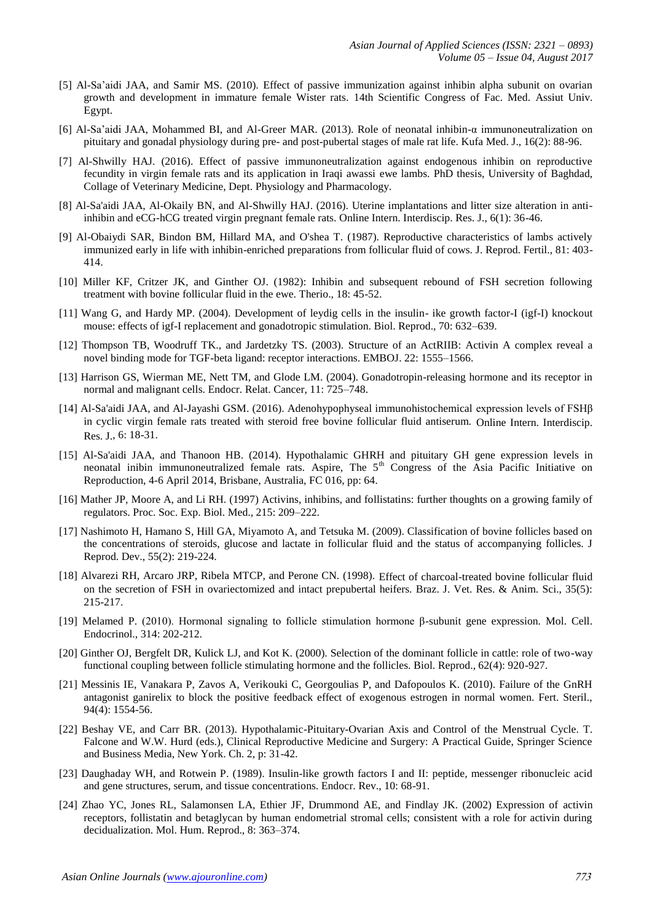- [5] Al-Sa'aidi JAA, and Samir MS. (2010). Effect of passive immunization against inhibin alpha subunit on ovarian growth and development in immature female Wister rats. 14th Scientific Congress of Fac. Med. Assiut Univ. Egypt.
- [6] Al-Sa'aidi JAA, Mohammed BI, and Al-Greer MAR. (2013). Role of neonatal inhibin-α immunoneutralization on pituitary and gonadal physiology during pre- and post-pubertal stages of male rat life. Kufa Med. J., 16(2): 88-96.
- [7] Al-Shwilly HAJ. (2016). Effect of passive immunoneutralization against endogenous inhibin on reproductive fecundity in virgin female rats and its application in Iraqi awassi ewe lambs. PhD thesis, University of Baghdad, Collage of Veterinary Medicine, Dept. Physiology and Pharmacology.
- [8] Al-Sa'aidi JAA, Al-Okaily BN, and Al-Shwilly HAJ. (2016). Uterine implantations and litter size alteration in antiinhibin and eCG-hCG treated virgin pregnant female rats. Online Intern. Interdiscip. Res. J., 6(1): 36-46.
- [9] Al-Obaiydi SAR, Bindon BM, Hillard MA, and O'shea T. (1987). Reproductive characteristics of lambs actively immunized early in life with inhibin-enriched preparations from follicular fluid of cows. J. Reprod. Fertil., 81: 403- 414.
- [10] Miller KF, Critzer JK, and Ginther OJ. (1982): Inhibin and subsequent rebound of FSH secretion following treatment with bovine follicular fluid in the ewe. Therio., 18: 45-52.
- [11] Wang G, and Hardy MP. (2004). Development of leydig cells in the insulin- ike growth factor-I (igf-I) knockout mouse: effects of igf-I replacement and gonadotropic stimulation. Biol. Reprod., 70: 632–639.
- [12] Thompson TB, Woodruff TK., and Jardetzky TS. (2003). Structure of an ActRIIB: Activin A complex reveal a novel binding mode for TGF-beta ligand: receptor interactions. EMBOJ. 22: 1555–1566.
- [13] Harrison GS, Wierman ME, Nett TM, and Glode LM. (2004). Gonadotropin-releasing hormone and its receptor in normal and malignant cells. Endocr. Relat. Cancer, 11: 725–748.
- [14] Al-Sa'aidi JAA, and Al-Jayashi GSM. (2016). Adenohypophyseal immunohistochemical expression levels of FSHβ in cyclic virgin female rats treated with steroid free bovine follicular fluid antiserum. Online Intern. Interdiscip. Res. J., 6: 18-31.
- [15] Al-Sa'aidi JAA, and Thanoon HB. (2014). Hypothalamic GHRH and pituitary GH gene expression levels in neonatal inibin immunoneutralized female rats. Aspire, The 5<sup>th</sup> Congress of the Asia Pacific Initiative on Reproduction, 4-6 April 2014, Brisbane, Australia, FC 016, pp: 64.
- [16] Mather JP, Moore A, and Li RH. (1997) Activins, inhibins, and follistatins: further thoughts on a growing family of regulators. Proc. Soc. Exp. Biol. Med., 215: 209–222.
- [17] Nashimoto H, Hamano S, Hill GA, Miyamoto A, and Tetsuka M. (2009). Classification of bovine follicles based on the concentrations of steroids, glucose and lactate in follicular fluid and the status of accompanying follicles. J Reprod. Dev., 55(2): 219-224.
- [18] Alvarezi RH, Arcaro JRP, Ribela MTCP, and Perone CN. (1998). Effect of charcoal-treated bovine follicular fluid on the secretion of FSH in ovariectomized and intact prepubertal heifers. Braz. J. Vet. Res. & Anim. Sci., 35(5): 215-217.
- [19] Melamed P. (2010). Hormonal signaling to follicle stimulation hormone β-subunit gene expression. Mol. Cell. Endocrinol., 314: 202-212.
- [20] Ginther OJ, Bergfelt DR, Kulick LJ, and Kot K. (2000). Selection of the dominant follicle in cattle: role of two-way functional coupling between follicle stimulating hormone and the follicles. Biol. Reprod., 62(4): 920-927.
- [21] Messinis IE, Vanakara P, Zavos A, Verikouki C, Georgoulias P, and Dafopoulos K. (2010). Failure of the GnRH antagonist ganirelix to block the positive feedback effect of exogenous estrogen in normal women. Fert. Steril., 94(4): 1554-56.
- [22] Beshay VE, and Carr BR. (2013). Hypothalamic-Pituitary-Ovarian Axis and Control of the Menstrual Cycle. T. Falcone and W.W. Hurd (eds.), Clinical Reproductive Medicine and Surgery: A Practical Guide, Springer Science and Business Media, New York. Ch. 2, p: 31-42.
- [23] Daughaday WH, and Rotwein P. (1989). Insulin-like growth factors I and II: peptide, messenger ribonucleic acid and gene structures, serum, and tissue concentrations. Endocr. Rev., 10: 68-91.
- [24] Zhao YC, Jones RL, Salamonsen LA, Ethier JF, Drummond AE, and Findlay JK. (2002) Expression of activin receptors, follistatin and betaglycan by human endometrial stromal cells; consistent with a role for activin during decidualization. Mol. Hum. Reprod., 8: 363–374.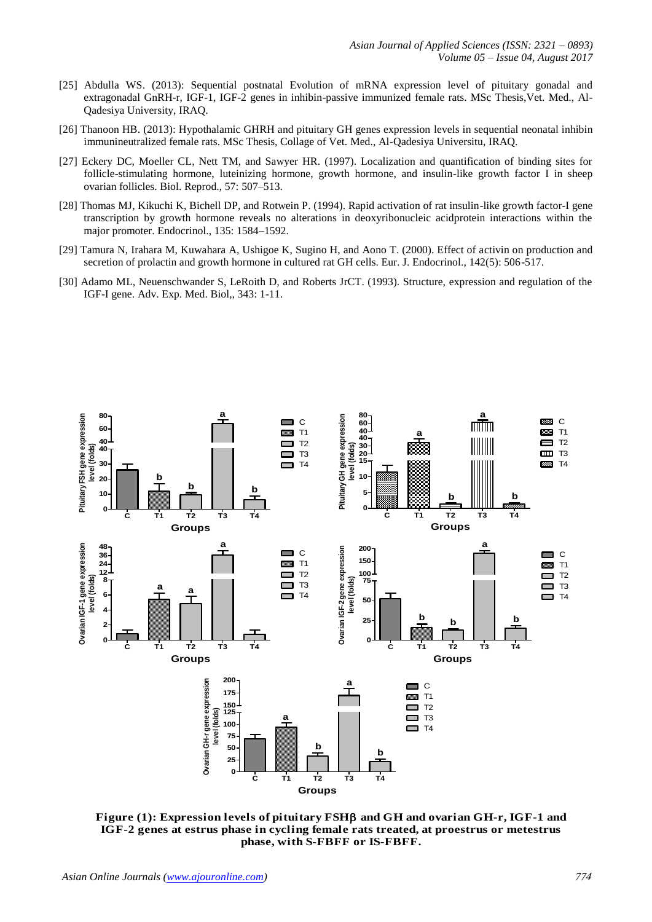- [25] Abdulla WS. (2013): Sequential postnatal Evolution of mRNA expression level of pituitary gonadal and extragonadal GnRH-r, IGF-1, IGF-2 genes in inhibin-passive immunized female rats. MSc Thesis,Vet. Med., Al-Qadesiya University, IRAQ.
- [26] Thanoon HB. (2013): Hypothalamic GHRH and pituitary GH genes expression levels in sequential neonatal inhibin immunineutralized female rats. MSc Thesis, Collage of Vet. Med., Al-Qadesiya Universitu, IRAQ.
- [27] Eckery DC, Moeller CL, Nett TM, and Sawyer HR. (1997). Localization and quantification of binding sites for follicle-stimulating hormone, luteinizing hormone, growth hormone, and insulin-like growth factor I in sheep ovarian follicles. Biol. Reprod., 57: 507–513.
- [28] Thomas MJ, Kikuchi K, Bichell DP, and Rotwein P. (1994). Rapid activation of rat insulin-like growth factor-I gene transcription by growth hormone reveals no alterations in deoxyribonucleic acidprotein interactions within the major promoter. Endocrinol., 135: 1584–1592.
- [29] Tamura N, Irahara M, Kuwahara A, Ushigoe K, Sugino H, and Aono T. (2000). Effect of activin on production and secretion of prolactin and growth hormone in cultured rat GH cells. Eur. J. Endocrinol., 142(5): 506-517.
- [30] Adamo ML, Neuenschwander S, LeRoith D, and Roberts JrCT. (1993). Structure, expression and regulation of the IGF-I gene. Adv. Exp. Med. Biol,, 343: 1-11.



**Figure (1): Expression levels of pituitary FSH and GH and ovarian GH-r, IGF-1 and IGF-2 genes at estrus phase in cycling female rats treated, at proestrus or metestrus phase, with S-FBFF or IS-FBFF.**